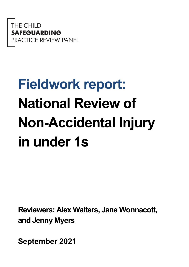THE CHILD **EGUARDING CTICE REVIEW PANEL** 

# **Fieldwork report: National Review of Non-Accidental Injury in under 1s**

**Reviewers: Alex Walters, Jane Wonnacott, and Jenny Myers**

**September 2021**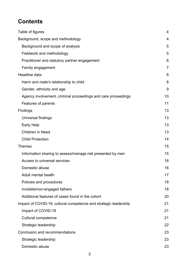# **Contents**

| Table of figures                                                 | 4              |
|------------------------------------------------------------------|----------------|
| Background, scope and methodology                                |                |
| Background and scope of analysis                                 | 5              |
| Fieldwork and methodology                                        | 5              |
| Practitioner and statutory partner engagement                    | 6              |
| Family engagement                                                | $\overline{7}$ |
| Headline data                                                    | 8              |
| Harm and male's relationship to child                            | 8              |
| Gender, ethnicity and age                                        | 9              |
| Agency involvement, criminal proceedings and care proceedings    | 10             |
| Features of parents                                              | 11             |
| Findings                                                         | 13             |
| Universal findings                                               | 13             |
| <b>Early Help</b>                                                | 13             |
| <b>Children in Need</b>                                          | 13             |
| <b>Child Protection</b>                                          | 14             |
| <b>Themes</b>                                                    | 15             |
| Information sharing to assess/manage risk presented by men       | 15             |
| Access to universal services                                     | 16             |
| Domestic abuse                                                   | 16             |
| Adult mental health                                              | 17             |
| Policies and procedures                                          | 18             |
| Invisible/non-engaged fathers                                    | 18             |
| Additional features of cases found in the cohort                 | 20             |
| Impact of COVID-19, cultural competence and strategic leadership | 21             |
| Impact of COVID-19                                               | 21             |
| <b>Cultural competence</b>                                       | 21             |
| Strategic leadership                                             | 22             |
| Conclusion and recommendations                                   | 23             |
| Strategic leadership                                             | 23             |
| Domestic abuse                                                   | 23             |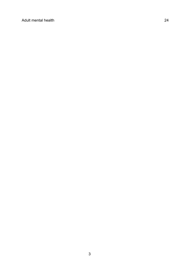[Adult mental health](#page-23-0) 24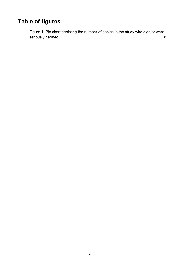# <span id="page-3-0"></span>**Table of figures**

<span id="page-3-1"></span>[Figure 1: Pie chart depicting the number of babies in the study who died or were](#page-7-2)  [seriously harmed](#page-7-2) 8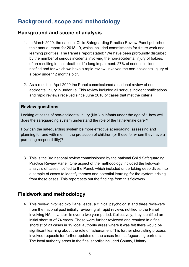## **Background, scope and methodology**

#### <span id="page-4-0"></span>**Background and scope of analysis**

- 1. In March 2020, the national Child Safeguarding Practice Review Panel published their annual report for 2018-19, which included commitments for future work and learning priorities. The Panel's report stated: "We have been profoundly disturbed by the number of serious incidents involving the non-accidental injury of babies, often resulting in their death or life-long impairment. 27% of serious incidents notified and for which we have a rapid review, involved the non-accidental injury of a baby under 12 months old".
- 2. As a result, in April 2020 the Panel commissioned a national review of nonaccidental injury in under 1s. This review included all serious incident notifications and rapid reviews received since June 2018 of cases that met the criteria.

#### **Review questions**

Looking at cases of non-accidental injury (NAI) in infants under the age of 1 how well does the safeguarding system understand the role of the father/male carer?

How can the safeguarding system be more effective at engaging, assessing and planning for and with men in the protection of children (or those for whom they have a parenting responsibility)?

3. This is the 3rd national review commissioned by the national Child Safeguarding Practice Review Panel. One aspect of the methodology included the fieldwork analysis of cases notified to the Panel, which included undertaking deep dives into a sample of cases to identify themes and potential learning for the system arising from these cases. This report sets out the findings from this fieldwork.

#### <span id="page-4-1"></span>**Fieldwork and methodology**

4. This review involved two Panel leads, a clinical psychologist and three reviewers from the national pool initially reviewing all rapid reviews notified to the Panel involving NAI in Under 1s over a two year period. Collectively, they identified an initial shortlist of 74 cases. These were further reviewed and resulted in a final shortlist of 23 cases in 19 local authority areas where it was felt there would be significant learning about the role of fathers/men. This further shortlisting process involved requests for further updates on the cases from safeguarding partners. The local authority areas in the final shortlist included County, Unitary,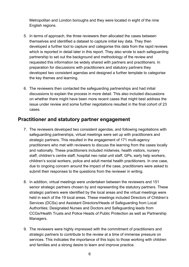Metropolitan and London boroughs and they were located in eight of the nine English regions.

- 5. In terms of approach, the three reviewers then allocated the cases between themselves and identified a dataset to capture initial key data. They then developed a further tool to capture and categorise this data from the rapid reviews which is reported in detail later in this report. They also wrote to each safeguarding partnership to set out the background and methodology of the review and requested this information be widely shared with partners and practitioners. In preparation for discussions with practitioners and statutory partners they developed two consistent agendas and designed a further template to categorise the key themes and learning.
- 6. The reviewers then contacted the safeguarding partnerships and had initial discussions to explain the process in more detail. This also included discussions on whether there might have been more recent cases that might best address the issue under review and some further negotiations resulted in the final cohort of 23 cases.

#### <span id="page-5-0"></span>**Practitioner and statutory partner engagement**

- 7. The reviewers developed two consistent agendas, and following negotiations with safeguarding partnerships, virtual meetings were set up with practitioners and strategic partners. This resulted in the engagement of 171 multi-agency practitioners who met with reviewers to discuss the learning from the cases locally and nationally. These practitioners included midwives, health visitors, nursery staff, children's centre staff, hospital neo natal unit staff, GPs, early help workers, children's social workers, police and adult mental health practitioners. In one case, due to ongoing concern around the impact of the case, practitioners were asked to submit their responses to the questions from the reviewer in writing.
- 8. In addition, virtual meetings were undertaken between the reviewers and 151 senior strategic partners chosen by and representing the statutory partners. These strategic partners were identified by the local areas and the virtual meetings were held in each of the 19 local areas. These meetings included Directors of Children's Services (DCSs) and Assistant Directors/Heads of Safeguarding from Local Authorities; Designated Nurses and Doctors and Safeguarding leads from CCGs/Health Trusts and Police Heads of Public Protection as well as Partnership Managers.
- 9. The reviewers were highly impressed with the commitment of practitioners and strategic partners to contribute to the review at a time of immense pressure on services. This indicates the importance of this topic to those working with children and families and a strong desire to learn and improve practice.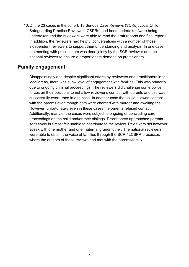10.Of the 23 cases in the cohort, 13 Serious Case Reviews (SCRs) /Local Child Safeguarding Practice Reviews (LCSPRs) had been undertaken/were being undertaken and the reviewers were able to read the draft reports and final reports. In addition, the reviewers had helpful conversations with a number of those independent reviewers to support their understanding and analysis. In one case the meeting with practitioners was done jointly by the SCR reviewer and the national reviewer to ensure a proportionate demand on practitioners.

#### <span id="page-6-0"></span>**Family engagement**

11.Disappointingly and despite significant efforts by reviewers and practitioners in the local areas, there was a low level of engagement with families. This was primarily due to ongoing criminal proceedings. The reviewers did challenge some police forces on their positions to not allow reviewer's contact with parents and this was successfully overturned in one case. In another case the police allowed contact with the parents even though both were charged with murder and awaiting trial. However, unfortunately even in these cases the parents refused contact. Additionally, many of the cases were subject to ongoing or concluding care proceedings on the child and/or their siblings. Practitioners approached parents sensitively but most felt unable to contribute to the review. Reviewers did however speak with one mother and one maternal grandmother. The national reviewers were able to obtain the voice of families through the SCR / LCSPR processes where the authors of those reviews had met with the parents/family.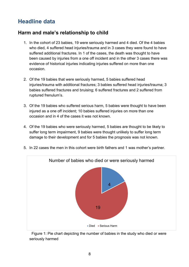## <span id="page-7-0"></span>**Headline data**

#### <span id="page-7-1"></span>**Harm and male's relationship to child**

- 1. In the cohort of 23 babies, 19 were seriously harmed and 4 died. Of the 4 babies who died, 4 suffered head injuries/trauma and in 3 cases they were found to have suffered additional fractures. In 1 of the cases, the death was thought to have been caused by injuries from a one off incident and in the other 3 cases there was evidence of historical injuries indicating injuries suffered on more than one occasion.
- 2. Of the 19 babies that were seriously harmed, 5 babies suffered head injuries/trauma with additional fractures; 3 babies suffered head injuries/trauma; 3 babies suffered fractures and bruising; 6 suffered fractures and 2 suffered from ruptured frenulum's.
- 3. Of the 19 babies who suffered serious harm, 5 babies were thought to have been injured as a one off incident; 10 babies suffered injuries on more than one occasion and in 4 of the cases it was not known.
- 4. Of the 19 babies who were seriously harmed, 5 babies are thought to be likely to suffer long term impairment, 9 babies were thought unlikely to suffer long term damage to their development and for 5 babies the prognosis was not known.



5. In 22 cases the men in this cohort were birth fathers and 1 was mother's partner.

<span id="page-7-2"></span> Figure 1: Pie chart depicting the number of babies in the study who died or were seriously harmed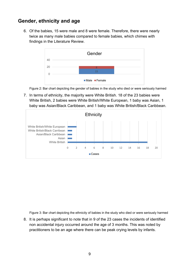#### <span id="page-8-0"></span>**Gender, ethnicity and age**

6. Of the babies, 15 were male and 8 were female. Therefore, there were nearly twice as many male babies compared to female babies, which chimes with findings in the Literature Review.



Figure 2: Bar chart depicting the gender of babies in the study who died or were seriously harmed

7. In terms of ethnicity, the majority were White British. 18 of the 23 babies were White British, 2 babies were White British/White European, 1 baby was Asian, 1 baby was Asian/Black Caribbean, and 1 baby was White British/Black Caribbean.



Figure 3: Bar chart depicting the ethnicity of babies in the study who died or were seriously harmed

8. It is perhaps significant to note that in 9 of the 23 cases the incidents of identified non accidental injury occurred around the age of 3 months. This was noted by practitioners to be an age where there can be peak crying levels by infants.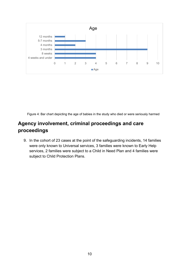

Figure 4: Bar chart depicting the age of babies in the study who died or were seriously harmed

#### <span id="page-9-0"></span>**Agency involvement, criminal proceedings and care proceedings**

9. In the cohort of 23 cases at the point of the safeguarding incidents, 14 families were only known to Universal services, 3 families were known to Early Help services, 2 families were subject to a Child in Need Plan and 4 families were subject to Child Protection Plans.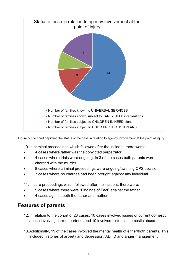

Figure 5: Pie chart depicting the status of the case in relation to agency involvement at the point of injury.

10.In criminal proceedings which followed after the incident, there were:

- 4 cases where father was the convicted perpetrator
- 4 cases where trials were ongoing. In 3 of the cases both parents were charged with the murder
- 8 cases where criminal proceedings were ongoing/awaiting CPS decision
- 7 cases where no charges had been brought against any individual.

11.In care proceedings which followed after the incident, there were:

- 5 cases where there were "Findings of Fact" against the father
- 4 cases against both the father and mother

#### <span id="page-10-0"></span>**Features of parents**

- 12.In relation to the cohort of 23 cases, 10 cases involved issues of current domestic abuse involving current partners and 10 involved historical domestic abuse.
- 13.Additionally, 19 of the cases involved the mental health of either/both parents. This included histories of anxiety and depression, ADHD and anger management.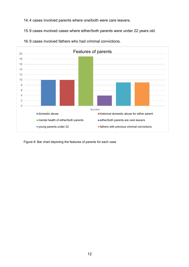14.4 cases involved parents where one/both were care leavers.

15.9 cases involved cases where either/both parents were under 22 years old.



16.9 cases involved fathers who had criminal convictions.

Figure 6: Bar chart depicting the features of parents for each case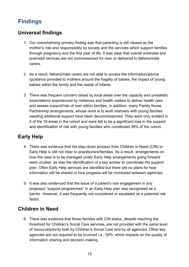## <span id="page-12-0"></span>**Findings**

## <span id="page-12-1"></span>**Universal findings**

- 1. Our overwhelming primary finding was that parenting is still viewed as the mother's role and responsibility by society and the services which support families through pregnancy and the first year of life. It was clear that overall antenatal and postnatal services are not commissioned for men or delivered to fathers/male carers.
- 2. As a result, fathers/male carers are not able to access the information/advice /guidance provided to mothers around the fragility of babies, the impact of young babies within the family and the needs of infants.
- 3. There was frequent concern raised by local areas over the capacity and unrealistic expectations experienced by midwives and health visitors to deliver health care and assess support/risk of men within families. In addition, many Family Nurse Partnership arrangements, whose remit is to work intensely with young families needing additional support have been decommissioned. They were only evident in 4 of the 19 areas in the cohort and were felt to be a significant loss in the support and identification of risk with young families who constituted 39% of the cohort.

## <span id="page-12-2"></span>**Early Help**

- 4. There was evidence that the step-down process from Children in Need (CIN) to Early Help is still not clear to practitioners/families. As a result, arrangements on how the case is to be managed under Early Help arrangements going forward were unclear, as was the identification of a key worker to coordinate the support plan. Often Early Help services are identified but there are no plans for how information will be shared or how progress will be monitored between agencies.
- 5. It was also evidenced that the issue of a parent's non engagement in any proposed "support programmes" in an Early Help plan was recognised as a barrier. However, it was frequently not considered or escalated as a potential risk factor.

#### <span id="page-12-3"></span>**Children in Need**

6. There was evidence that those families with CIN status, despite reaching the threshold for Children's Social Care services, are not provided with the same level of resource/priority both by Children's Social Care and by all agencies. Other key agencies are not required to be involved i.e., GPs, which impacts on the quality of information sharing and decision making.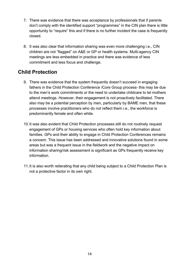- 7. There was evidence that there was acceptance by professionals that if parents don't comply with the identified support "programmes" in the CIN plan there is little opportunity to "require" this and if there is no further incident the case is frequently closed.
- 8. It was also clear that information sharing was even more challenging i.e., CIN children are not "flagged" on A&E or GP or health systems. Multi-agency CIN meetings are less embedded in practice and there was evidence of less commitment and less focus and challenge.

### <span id="page-13-0"></span>**Child Protection**

- 9. There was evidence that the system frequently doesn't succeed in engaging fathers in the Child Protection Conference /Core Group process- this may be due to the men's work commitments or the need to undertake childcare to let mothers attend meetings. However, their engagement is not proactively facilitated. There also may be a potential perception by men, particularly by BAME men, that these processes involve practitioners who do not reflect them i.e., the workforce is predominantly female and often white.
- 10.It was also evident that Child Protection processes still do not routinely request engagement of GPs or housing services who often hold key information about families. GPs and their ability to engage in Child Protection Conferences remains a concern. This issue has been addressed and innovative solutions found in some areas but was a frequent issue in the fieldwork and the negative impact on information sharing/risk assessment is significant as GPs frequently receive key information.
- 11.It is also worth reiterating that any child being subject to a Child Protection Plan is not a protective factor in its own right.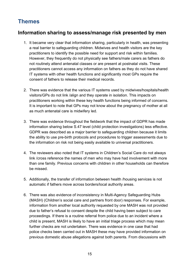## <span id="page-14-0"></span>**Themes**

#### <span id="page-14-1"></span>**Information sharing to assess/manage risk presented by men**

- 1. It became very clear that information sharing, particularly in health, was presenting a real barrier to safeguarding children. Midwives and health visitors are the key practitioners to identify the possible need for support and risk within families. However, they frequently do not physically see fathers/male carers as fathers do not routinely attend antenatal classes or are present at postnatal visits. These practitioners cannot access any information on fathers as they do not have shared IT systems with other health functions and significantly most GPs require the consent of fathers to release their medical records.
- 2. There was evidence that the various IT systems used by midwives/hospitals/health visitors/GPs do not link /align and they operate in isolation. This impacts on practitioners working within these key health functions being informed of concerns. It is important to note that GPs may not know about the pregnancy of mother at all as much antenatal care is midwifery led.
- 3. There was evidence throughout the fieldwork that the impact of GDPR has made information sharing below S.47 level (child protection investigations) less effective. GDPR was described as a major barrier to safeguarding children because it limits the ability to use pre-birth protocols and procedures to trigger assessments due to the information on risk not being easily available to universal practitioners.
- 4. The reviewers also noted that IT systems in Children's Social Care do not always link /cross reference the names of men who may have had involvement with more than one family. Previous concerns with children in other households can therefore be missed.
- 5. Additionally, the transfer of information between health /housing services is not automatic if fathers move across borders/local authority areas.
- 6. There was also evidence of inconsistency in Multi-Agency Safeguarding Hubs (MASH) (Children's social care and partners front door) responses. For example, information from another local authority requested by one MASH was not provided due to father's refusal to consent despite the child having been subject to care proceedings. If there is a routine referral from police due to an incident where a child is present, MASH is likely to have an initial triage process which may mean further checks are not undertaken. There was evidence in one case that had police checks been carried out in MASH these may have provided information on previous domestic abuse allegations against both parents. From discussions with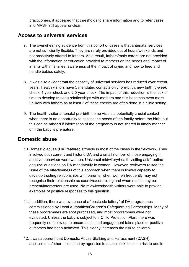practitioners, it appeared that thresholds to share information and to refer cases into MASH still appear unclear.

#### <span id="page-15-0"></span>**Access to universal services**

- 7. The overwhelming evidence from this cohort of cases is that antenatal services are not sufficiently flexible. They are rarely provided out of hours/weekends and not proactively offered to fathers. As a result, fathers/male carers are not provided with the information or education provided to mothers on the needs and impact of infants within families, awareness of the impact of crying and how to feed and handle babies safely.
- 8. It was also evident that the capacity of universal services has reduced over recent years. Health visitors have 5 mandated contacts only: pre-birth, new birth, 8-week check, 1 year check and 2.5-year check. The impact of this reduction is the lack of time to develop trusting relationships with mothers and this becomes even more unlikely with fathers as at least 2 of these checks are often done in a clinic setting.
- 9. The health visitor antenatal pre-birth home visit is a potentially crucial contact when there is an opportunity to assess the needs of the family before the birth, but this can be missed if information of the pregnancy is not shared in timely manner or if the baby is premature.

#### <span id="page-15-1"></span>**Domestic abuse**

- 10.Domestic abuse (DA) featured strongly in most of the cases in the fieldwork. They involved both current and historic DA and a small number of those engaging in abusive behaviour were women. Universal midwifery/health visiting ask "routine enquiry" questions on DA mandatorily to women. However, reviewers raised the issue of the effectiveness of this approach when there is limited capacity to develop trusting relationships with parents, when women frequently may not recognise their relationship as coercive/controlling and when males may be present/interpreters are used. No midwives/health visitors were able to provide examples of positive responses to this question.
- 11.In addition, there was evidence of a "postcode lottery" of DA programmes commissioned by Local Authorities/Children's Safeguarding Partnerships. Many of these programmes are spot purchased, and most programmes were not evaluated. Unless the baby is subject to a Child Protection Plan, there was frequently no follow up to ensure sustained engagement takes place or positive outcomes had been achieved. This clearly increases the risk to children.
- 12.It was apparent that Domestic Abuse Stalking and Harassment (DASH) assessments/other tools used by agencies to assess risk focus on risk to adults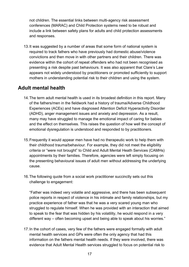not children. The essential links between multi-agency risk assessment conferences (MARAC) and Child Protection systems need to be robust and include a link between safety plans for adults and child protection assessments and responses.

13.It was suggested by a number of areas that some form of national system is required to track fathers who have previously had domestic abuse/violence convictions and then move in with other partners and their children. There was evidence within the cohort of repeat offenders who had not been recognised as presenting a risk despite past behaviours. It was also apparent that Clare's Law appears not widely understood by practitioners or promoted sufficiently to support mothers in understanding potential risk to their children and using the system.

#### <span id="page-16-0"></span>**Adult mental health**

- 14.The term adult mental health is used in its broadest definition in this report. Many of the fathers/men in the fieldwork had a history of trauma/Adverse Childhood Experiences (ACEs) and have diagnosed Attention Deficit Hyperactivity Disorder (ADHD), anger management issues and anxiety and depression. As a result, many may have struggled to manage the emotional impact of caring for babies and the effect on themselves. This raises the question of how well the concept of emotional dysregulation is understood and responded to by practitioners.
- 15.Frequently it would appear men have had no therapeutic work to help them with their childhood trauma/behaviour. For example, they did not meet the eligibility criteria or "were not brought" to Child and Adult Mental Heath Services (CAMHs) appointments by their families. Therefore, agencies were left simply focusing on the presenting behavioural issues of adult men without addressing the underlying cause.
- 16.The following quote from a social work practitioner succinctly sets out this challenge to engagement:

"Father was indeed very volatile and aggressive, and there has been subsequent police reports in respect of violence in his intimate and family relationships, but my practice experience of father was that he was a very scared young man who struggled to regulate himself. When he was provided with an interaction that aimed to speak to the fear that was hidden by his volatility, he would respond in a very different way – often becoming upset and being able to speak about his worries."

17.In the cohort of cases, very few of the fathers were engaged formally with adult mental health services and GPs were often the only agency that had this information on the fathers mental health needs. If they were involved, there was evidence that Adult Mental Health services struggled to focus on potential risk to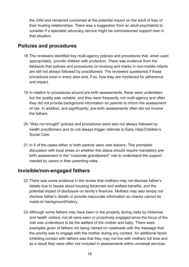the child and remained concerned at the potential impact on the adult of loss of their trusting relationships. There was a suggestion from an adult psychiatrist to consider if a specialist advocacy service might be commissioned support men in that situation.

#### <span id="page-17-0"></span>**Policies and procedures**

- 18.The reviewers identified key multi-agency policies and procedures that, when used appropriately, provide children with protection. There was evidence from the fieldwork that policies and procedures on bruising and marks in non-mobile infants are still not always followed by practitioners. The reviewers questioned if these procedures exist in every area and, if so, how they are monitored for adherence and impact.
- 19.In relation to procedures around pre-birth assessments, these were undertaken but the quality was variable, and they were frequently not multi-agency and often they did not provide background information on parents to inform the assessment of risk. In addition, and significantly, pre-birth assessments often did not involve the fathers.
- 20."Was not brought" policies and procedures were also not always followed by health practitioners and do not always trigger referrals to Early Help/Children's Social Care.
- 21.In 4 of the cases either or both parents were care leavers. This prompted discussion with local areas on whether this status should require mandatory prebirth assessment in the "corporate grandparent" role to understand the support needed by carers in their parenting roles.

#### <span id="page-17-1"></span>**Invisible/non-engaged fathers**

- 22.There was some evidence in the review that mothers may not disclose father's details due to issues about housing tenancies and welfare benefits, and the potential impact of disclosure on family's finances. Mothers may also simply not disclose father's details or provide inaccurate information so checks cannot be made on background/history.
- 23.Although some fathers may have been in the property during visits by midwives and health visitors, not all were seen or proactively engaged since the focus of the visit was understood to be the welfare of the mother and baby. There were examples given of fathers not being named on caseloads with the message that the priority was to engage with the mother during any contact. An additional factor inhibiting contact with fathers was that they may not live with mothers full time and as a result they were often not included in assessments within universal services.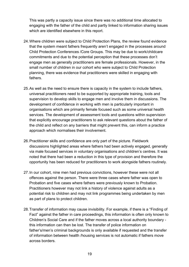This was partly a capacity issue since there was no additional time allocated to engaging with the father of the child and partly linked to information sharing issues which are identified elsewhere in this report.

- 24.Where children were subject to Child Protection Plans, the review found evidence that the system meant fathers frequently aren't engaged in the processes around Child Protection Conferences /Core Groups. This may be due to work/childcare commitments and due to the potential perception that these processes don't engage men as generally practitioners are female professionals. However, in the small number of children in our cohort who were subject to Child Protection planning, there was evidence that practitioners were skilled in engaging with fathers.
- 25.As well as the need to ensure there is capacity in the system to include fathers, universal practitioners need to be supported by appropriate training, tools and supervision to develop skills to engage men and involve them in discussions. The development of confidence in working with men is particularly important in organisations which are primarily female focused such as some universal health services. The development of assessment tools and questions within supervision that explicitly encourage practitioners to ask relevant questions about the father of the child and reflect on any barriers that might prevent this, can inform a practice approach which normalises their involvement.
- 26.Practitioner skills and confidence are only part of the picture. Fieldwork discussions highlighted areas where fathers had been actively engaged, generally via male focused services in voluntary organisations and children's centres. It was noted that there had been a reduction in this type of provision and therefore the opportunity has been reduced for practitioners to work alongside fathers routinely.
- 27.In our cohort, nine men had previous convictions, however these were not all offences against the person. There were three cases where father was open to Probation and five cases where fathers were previously known to Probation. Practitioners however may not link a history of violence against adults as a potential risk to children and may not link programmes being undertaken by men as part of plans to protect children.
- 28.Transfer of information may cause invisibility. For example, if there is a "Finding of Fact" against the father in care proceedings, this information is often only known to Children's Social Care and if the father moves across a local authority boundary this information can then be lost. The transfer of police information on father's/men's criminal backgrounds is only available if requested and the transfer of information between health /housing services is not automatic if fathers move across borders.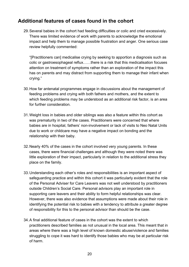#### <span id="page-19-0"></span>**Additional features of cases found in the cohort**

29.Several babies in the cohort had feeding difficulties or colic and cried excessively. There was limited evidence of work with parents to acknowledge the emotional impact and help them to manage possible frustration and anger. One serious case review helpfully commented:

"[Practitioners can] medicalise crying by seeking to apportion a diagnosis such as colic or gastroesophageal reflux……there is a risk that this medicalisation focuses attention on treatment of symptoms rather than an exploration of the impact this has on parents and may distract from supporting them to manage their infant when crying."

- 30.How far antenatal programmes engage in discussions about the management of feeding problems and crying with both fathers and mothers, and the extent to which feeding problems may be understood as an additional risk factor, is an area for further consideration.
- 31.Weight loss in babies and older siblings was also a feature within this cohort as was prematurity in two of the cases. Practitioners were concerned that where babies are in hospital, fathers' non-involvement or lack of visits to Neo Natal Units due to work or childcare may have a negative impact on bonding and the relationship with their baby.
- 32.Nearly 40% of the cases in the cohort involved very young parents. In these cases, there were financial challenges and although they were noted there was little exploration of their impact, particularly in relation to the additional stress they place on the family.
- 33.Understanding each other's roles and responsibilities is an important aspect of safeguarding practice and within this cohort it was particularly evident that the role of the Personal Adviser for Care Leavers was not well understood by practitioners outside Children's Social Care. Personal advisors play an important role in supporting care leavers and their ability to form helpful relationships was clear. However, there was also evidence that assumptions were made about their role in identifying the potential risk to babies with a tendency to attribute a greater degree of responsibility for this to the personal advisor than should be the case.
- 34.A final additional feature of cases in the cohort was the extent to which practitioners described families as not unusual in the local area. This meant that in areas where there was a high level of known domestic abuse/violence and families struggling to cope it was hard to identify those babies who may be at particular risk of harm.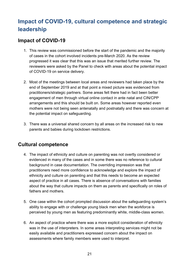# <span id="page-20-0"></span>**Impact of COVID-19, cultural competence and strategic leadership**

#### <span id="page-20-1"></span>**Impact of COVID-19**

- 1. This review was commissioned before the start of the pandemic and the majority of cases in the cohort involved incidents pre-March 2020. As the review progressed it was clear that this was an issue that merited further review. The reviewers were asked by the Panel to check with areas about the potential impact of COVID-19 on service delivery.
- 2. Most of the meetings between local areas and reviewers had taken place by the end of September 2019 and at that point a mixed picture was evidenced from practitioners/strategic partners. Some areas felt there had in fact been better engagement of men through virtual online contact in ante natal and CIN/CPP arrangements and this should be built on. Some areas however reported even mothers were not being seen antenatally and postnatally and there was concern at the potential impact on safeguarding.
- 3. There was a universal shared concern by all areas on the increased risk to new parents and babies during lockdown restrictions.

#### <span id="page-20-2"></span>**Cultural competence**

- 4. The impact of ethnicity and culture on parenting was not overtly considered or evidenced in many of the cases and in some there was no reference to cultural background in case documentation. The overriding impression was that practitioners need more confidence to acknowledge and explore the impact of ethnicity and culture on parenting and that this needs to become an expected aspect of practice in all cases. There is absence of conversations with families about the way that culture impacts on them as parents and specifically on roles of fathers and mothers.
- 5. One case within the cohort prompted discussion about the safeguarding system's ability to engage with or challenge young black men when the workforce is perceived by young men as featuring predominantly white, middle-class women.
- 6. An aspect of practice where there was a more explicit consideration of ethnicity was in the use of interpreters. In some areas interpreting services might not be easily available and practitioners expressed concern about the impact on assessments where family members were used to interpret.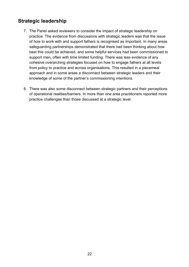### <span id="page-21-0"></span>**Strategic leadership**

- 7. The Panel asked reviewers to consider the impact of strategic leadership on practice. The evidence from discussions with strategic leaders was that the issue of how to work with and support fathers is recognised as important. In many areas safeguarding partnerships demonstrated that there had been thinking about how best this could be achieved, and some helpful services had been commissioned to support men, often with time limited funding. There was less evidence of any cohesive overarching strategies focused on how to engage fathers at all levels from policy to practice and across organisations. This resulted in a piecemeal approach and in some areas a disconnect between strategic leaders and their knowledge of some of the partner's commissioning intentions.
- 8. There was also some disconnect between strategic partners and their perceptions of operational realities/barriers. In more than one area practitioners reported more practice challenges than those discussed at a strategic level.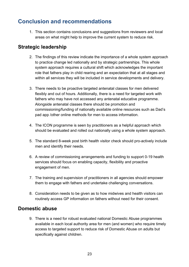## <span id="page-22-0"></span>**Conclusion and recommendations**

1. This section contains conclusions and suggestions from reviewers and local areas on what might help to improve the current system to reduce risk.

#### <span id="page-22-1"></span>**Strategic leadership**

- 2. The findings of this review indicate the importance of a whole system approach to practice change led nationally and by strategic partnerships. This whole system approach requires a cultural shift which acknowledges the important role that fathers play in child rearing and an expectation that at all stages and within all services they will be included in service developments and delivery.
- 3. There needs to be proactive targeted antenatal classes for men delivered flexibly and out of hours. Additionally, there is a need for targeted work with fathers who may have not accessed any antenatal educative programme. Alongside antenatal classes there should be promotion and commissioning/funding of nationally available online resources such as Dad's pad app /other online methods for men to access information.
- 4. The ICON programme is seen by practitioners as a helpful approach which should be evaluated and rolled out nationally using a whole system approach.
- 5. The standard 8-week post birth health visitor check should pro-actively include men and identify their needs.
- 6. A review of commissioning arrangements and funding to support 0-19 health services should focus on enabling capacity, flexibility and proactive engagement of men.
- 7. The training and supervision of practitioners in all agencies should empower them to engage with fathers and undertake challenging conversations.
- 8. Consideration needs to be given as to how midwives and health visitors can routinely access GP information on fathers without need for their consent.

#### <span id="page-22-2"></span>**Domestic abuse**

9. There is a need for robust evaluated national Domestic Abuse programmes available in each local authority area for men (and women) who require timely access to targeted support to reduce risk of Domestic Abuse on adults but specifically against children.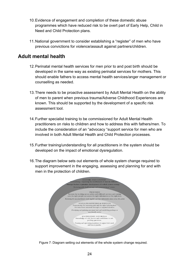- 10.Evidence of engagement and completion of these domestic abuse programmes which have reduced risk to be overt part of Early Help, Child in Need and Child Protection plans.
- 11.National government to consider establishing a "register" of men who have previous convictions for violence/assault against partners/children.

#### <span id="page-23-0"></span>**Adult mental health**

- 12.Perinatal mental health services for men prior to and post birth should be developed in the same way as existing perinatal services for mothers. This should enable fathers to access mental health services/anger management or counselling as needed.
- 13.There needs to be proactive assessment by Adult Mental Health on the ability of men to parent when previous trauma/Adverse Childhood Experiences are known. This should be supported by the development of a specific risk assessment tool.
- 14.Further specialist training to be commissioned for Adult Mental Health practitioners on risks to children and how to address this with fathers/men. To include the consideration of an "advocacy "support service for men who are involved in both Adult Mental Health and Child Protection processes.
- 15.Further training/understanding for all practitioners in the system should be developed on the impact of emotional dysregulation.
- 16.The diagram below sets out elements of whole system change required to support improvement in the engaging, assessing and planning for and with men in the protection of children.



Figure 7: Diagram setting out elements of the whole system change required.